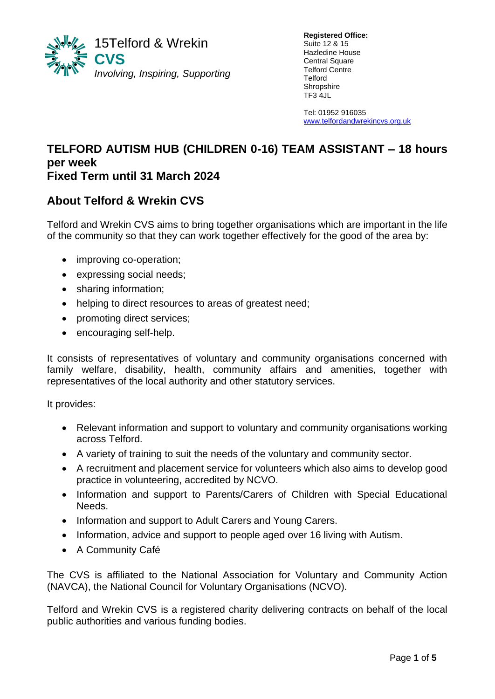

**Registered Office:** Suite 12 & 15 Hazledine House Central Square Telford Centre Telford **Shropshire** TF3 4JL

Tel: 01952 916035 [www.telfordandwrekincvs.org.uk](http://www.telfordandwrekincvs.org.uk/)

#### **TELFORD AUTISM HUB (CHILDREN 0-16) TEAM ASSISTANT – 18 hours per week Fixed Term until 31 March 2024**  $\overline{a}$

# **About Telford & Wrekin CVS**

Telford and Wrekin CVS aims to bring together organisations which are important in the life of the community so that they can work together effectively for the good of the area by:

- improving co-operation;
- expressing social needs;
- sharing information;
- helping to direct resources to areas of greatest need;
- promoting direct services;
- encouraging self-help.

It consists of representatives of voluntary and community organisations concerned with family welfare, disability, health, community affairs and amenities, together with representatives of the local authority and other statutory services.

It provides:

- Relevant information and support to voluntary and community organisations working across Telford.
- A variety of training to suit the needs of the voluntary and community sector.
- A recruitment and placement service for volunteers which also aims to develop good practice in volunteering, accredited by NCVO.
- Information and support to Parents/Carers of Children with Special Educational Needs.
- Information and support to Adult Carers and Young Carers.
- Information, advice and support to people aged over 16 living with Autism.
- A Community Café

The CVS is affiliated to the National Association for Voluntary and Community Action (NAVCA), the National Council for Voluntary Organisations (NCVO).

Telford and Wrekin CVS is a registered charity delivering contracts on behalf of the local public authorities and various funding bodies.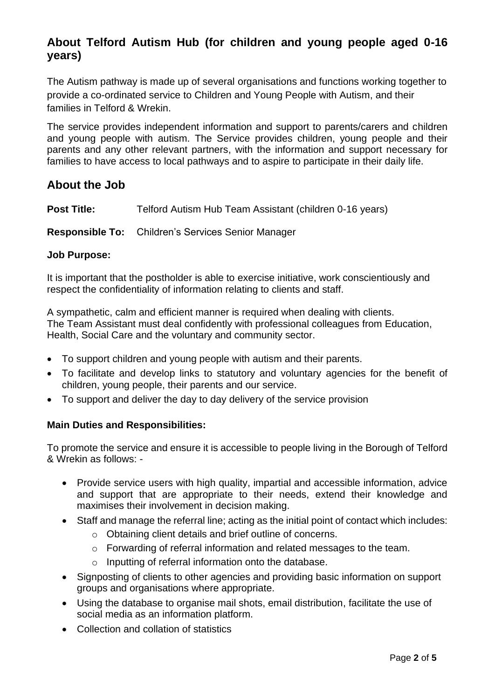# **About Telford Autism Hub (for children and young people aged 0-16 years)**

The Autism pathway is made up of several organisations and functions working together to provide a co-ordinated service to Children and Young People with Autism, and their families in Telford & Wrekin.

The service provides independent information and support to parents/carers and children and young people with autism. The Service provides children, young people and their parents and any other relevant partners, with the information and support necessary for families to have access to local pathways and to aspire to participate in their daily life.

## **About the Job**

**Post Title:** Telford Autism Hub Team Assistant (children 0-16 years)

**Responsible To:** Children's Services Senior Manager

#### **Job Purpose:**

It is important that the postholder is able to exercise initiative, work conscientiously and respect the confidentiality of information relating to clients and staff.

A sympathetic, calm and efficient manner is required when dealing with clients. The Team Assistant must deal confidently with professional colleagues from Education, Health, Social Care and the voluntary and community sector.

- To support children and young people with autism and their parents.
- To facilitate and develop links to statutory and voluntary agencies for the benefit of children, young people, their parents and our service.
- To support and deliver the day to day delivery of the service provision

#### **Main Duties and Responsibilities:**

To promote the service and ensure it is accessible to people living in the Borough of Telford & Wrekin as follows: -

- Provide service users with high quality, impartial and accessible information, advice and support that are appropriate to their needs, extend their knowledge and maximises their involvement in decision making.
- Staff and manage the referral line; acting as the initial point of contact which includes:
	- o Obtaining client details and brief outline of concerns.
	- o Forwarding of referral information and related messages to the team.
	- o Inputting of referral information onto the database.
- Signposting of clients to other agencies and providing basic information on support groups and organisations where appropriate.
- Using the database to organise mail shots, email distribution, facilitate the use of social media as an information platform.
- Collection and collation of statistics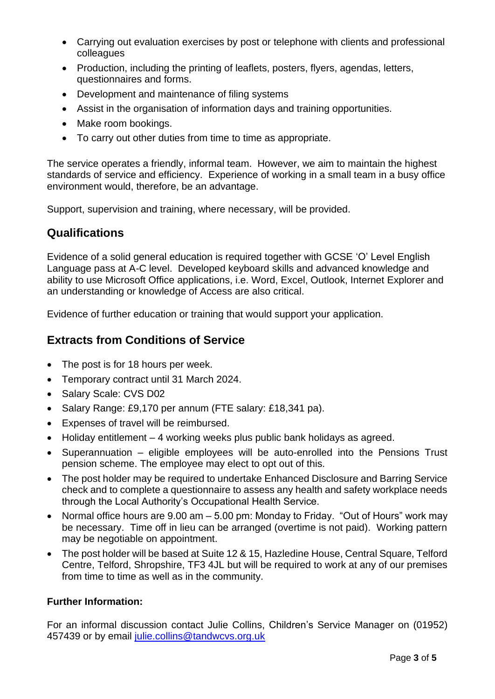- Carrying out evaluation exercises by post or telephone with clients and professional colleagues
- Production, including the printing of leaflets, posters, flyers, agendas, letters, questionnaires and forms.
- Development and maintenance of filing systems
- Assist in the organisation of information days and training opportunities.
- Make room bookings.
- To carry out other duties from time to time as appropriate.

The service operates a friendly, informal team. However, we aim to maintain the highest standards of service and efficiency. Experience of working in a small team in a busy office environment would, therefore, be an advantage.

Support, supervision and training, where necessary, will be provided.

### **Qualifications**

Evidence of a solid general education is required together with GCSE 'O' Level English Language pass at A-C level. Developed keyboard skills and advanced knowledge and ability to use Microsoft Office applications, i.e. Word, Excel, Outlook, Internet Explorer and an understanding or knowledge of Access are also critical.

Evidence of further education or training that would support your application.

## **Extracts from Conditions of Service**

- The post is for 18 hours per week.
- Temporary contract until 31 March 2024.
- Salary Scale: CVS D02
- Salary Range: £9,170 per annum (FTE salary: £18,341 pa).
- Expenses of travel will be reimbursed.
- Holiday entitlement 4 working weeks plus public bank holidays as agreed.
- Superannuation eligible employees will be auto-enrolled into the Pensions Trust pension scheme. The employee may elect to opt out of this.
- The post holder may be required to undertake Enhanced Disclosure and Barring Service check and to complete a questionnaire to assess any health and safety workplace needs through the Local Authority's Occupational Health Service.
- Normal office hours are 9.00 am 5.00 pm: Monday to Friday. "Out of Hours" work may be necessary. Time off in lieu can be arranged (overtime is not paid). Working pattern may be negotiable on appointment.
- The post holder will be based at Suite 12 & 15, Hazledine House, Central Square, Telford Centre, Telford, Shropshire, TF3 4JL but will be required to work at any of our premises from time to time as well as in the community.

#### **Further Information:**

For an informal discussion contact Julie Collins, Children's Service Manager on (01952) 457439 or by email [julie.collins@tandwcvs.org.uk](mailto:julie.collins@tandwcvs.org.uk)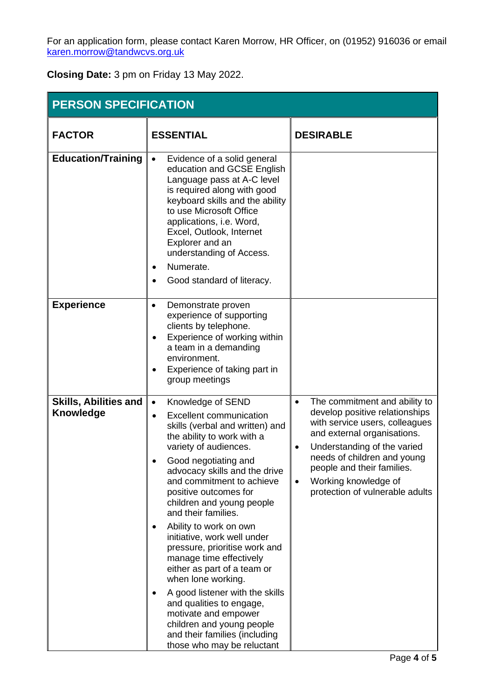For an application form, please contact Karen Morrow, HR Officer, on (01952) 916036 or email [karen.morrow@tandwcvs.org.uk](mailto:karen.morrow@tandwcvs.org.uk)

**Closing Date:** 3 pm on Friday 13 May 2022.

| <b>PERSON SPECIFICATION</b>               |                                                                                                                                                                                                                                                                                                                                                                                                                                                                                                                                                                                                                                                                                                                                   |                                                                                                                                                                                                                                                                                                      |
|-------------------------------------------|-----------------------------------------------------------------------------------------------------------------------------------------------------------------------------------------------------------------------------------------------------------------------------------------------------------------------------------------------------------------------------------------------------------------------------------------------------------------------------------------------------------------------------------------------------------------------------------------------------------------------------------------------------------------------------------------------------------------------------------|------------------------------------------------------------------------------------------------------------------------------------------------------------------------------------------------------------------------------------------------------------------------------------------------------|
| <b>FACTOR</b>                             | <b>ESSENTIAL</b>                                                                                                                                                                                                                                                                                                                                                                                                                                                                                                                                                                                                                                                                                                                  | <b>DESIRABLE</b>                                                                                                                                                                                                                                                                                     |
| <b>Education/Training</b>                 | Evidence of a solid general<br>$\bullet$<br>education and GCSE English<br>Language pass at A-C level<br>is required along with good<br>keyboard skills and the ability<br>to use Microsoft Office<br>applications, i.e. Word,<br>Excel, Outlook, Internet<br>Explorer and an<br>understanding of Access.<br>Numerate.<br>$\bullet$<br>Good standard of literacy.<br>$\bullet$                                                                                                                                                                                                                                                                                                                                                     |                                                                                                                                                                                                                                                                                                      |
| <b>Experience</b>                         | Demonstrate proven<br>$\bullet$<br>experience of supporting<br>clients by telephone.<br>Experience of working within<br>٠<br>a team in a demanding<br>environment.<br>Experience of taking part in<br>$\bullet$<br>group meetings                                                                                                                                                                                                                                                                                                                                                                                                                                                                                                 |                                                                                                                                                                                                                                                                                                      |
| <b>Skills, Abilities and</b><br>Knowledge | Knowledge of SEND<br>$\bullet$<br><b>Excellent communication</b><br>$\bullet$<br>skills (verbal and written) and<br>the ability to work with a<br>variety of audiences.<br>Good negotiating and<br>advocacy skills and the drive<br>and commitment to achieve<br>positive outcomes for<br>children and young people<br>and their families.<br>Ability to work on own<br>$\bullet$<br>initiative, work well under<br>pressure, prioritise work and<br>manage time effectively<br>either as part of a team or<br>when lone working.<br>A good listener with the skills<br>$\bullet$<br>and qualities to engage,<br>motivate and empower<br>children and young people<br>and their families (including<br>those who may be reluctant | The commitment and ability to<br>develop positive relationships<br>with service users, colleagues<br>and external organisations.<br>Understanding of the varied<br>needs of children and young<br>people and their families.<br>Working knowledge of<br>$\bullet$<br>protection of vulnerable adults |